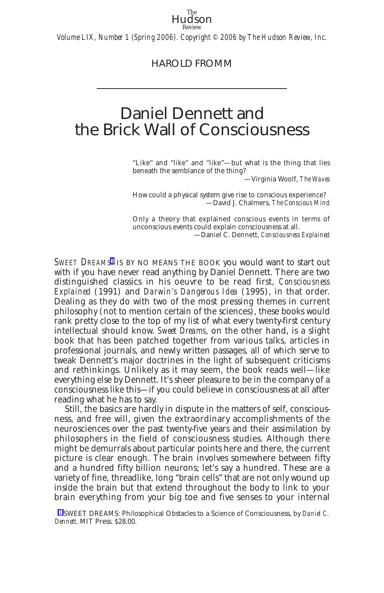## The Hudson Review

*Volume LIX, Number 1 (Spring 2006). Copyright © 2006 by The Hudson Review, Inc.*

HAROLD FROMM

## Daniel Dennett and the Brick Wall of Consciousness

"Like" and "like" and "like"—but what is the thing that lies beneath the semblance of the thing?

—Virginia Woolf, *The Waves*

How could a physical system give rise to conscious experience? —David J. Chalmers, *The Conscious Mind*

Only a theory that explained conscious events in terms of unconscious events could explain consciousness at all. —Daniel C. Dennett, *Consciousness Explained*

*SWEET DREAMS*<sup>1</sup> IS BY NO MEANS THE BOOK you would want to start out with if you have never read anything by Daniel Dennett. There are two distinguished classics in his oeuvre to be read first, *Consciousness Explained* (1991) and *Darwin's Dangerous Idea* (1995), in that order. Dealing as they do with two of the most pressing themes in current philosophy (not to mention certain of the sciences), these books would rank pretty close to the top of my list of what every twenty-first century intellectual should know. *Sweet Dreams*, on the other hand, is a slight book that has been patched together from various talks, articles in professional journals, and newly written passages, all of which serve to tweak Dennett's major doctrines in the light of subsequent criticisms and rethinkings. Unlikely as it may seem, the book reads well—like everything else by Dennett. It's sheer pleasure to be in the company of a consciousness like this—if you could believe in consciousness at all after reading what he has to say.

Still, the basics are hardly in dispute in the matters of self, consciousness, and free will, given the extraordinary accomplishments of the neurosciences over the past twenty-five years and their assimilation by philosophers in the field of consciousness studies. Although there might be demurrals about particular points here and there, the current picture is clear enough. The brain involves somewhere between fifty and a hundred fifty billion neurons; let's say a hundred. These are a variety of fine, threadlike, long "brain cells" that are not only wound up inside the brain but that extend throughout the body to link to your brain everything from your big toe and five senses to your internal

[1](http://www.amazon.com/gp/product/0262042258/sr=8-1/qid=1149012969/ref=pd_bbs_1/104-8076433-7474307?%5Fencoding=UTF8) SWEET DREAMS: Philosophical Obstacles to a Science of Consciousness, by *Daniel C. Dennett*. MIT Press. \$28.00.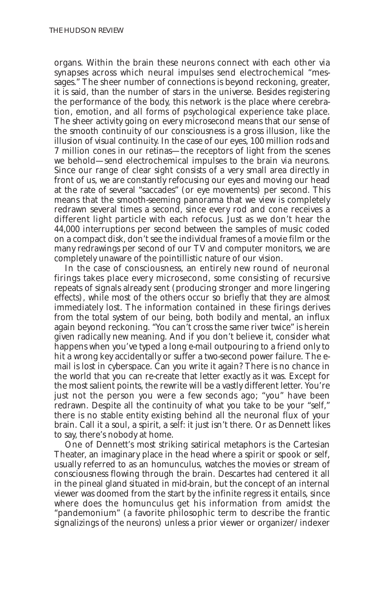organs. Within the brain these neurons connect with each other via synapses across which neural impulses send electrochemical "messages." The sheer number of connections is beyond reckoning, greater, it is said, than the number of stars in the universe. Besides registering the performance of the body, this network is the place where cerebration, emotion, and all forms of psychological experience take place. The sheer activity going on every microsecond means that our sense of the smooth continuity of our consciousness is a gross illusion, like the illusion of visual continuity. In the case of our eyes, 100 million rods and 7 million cones in our retinas—the receptors of light from the scenes we behold—send electrochemical impulses to the brain via neurons. Since our range of clear sight consists of a very small area directly in front of us, we are constantly refocusing our eyes and moving our head at the rate of several "saccades" (or eye movements) per second. This means that the smooth-seeming panorama that we view is completely redrawn several times a second, since every rod and cone receives a different light particle with each refocus. Just as we don't hear the 44,000 interruptions per second between the samples of music coded on a compact disk, don't see the individual frames of a movie film or the many redrawings per second of our TV and computer monitors, we are completely unaware of the pointillistic nature of our vision.

In the case of consciousness, an entirely new round of neuronal firings takes place every microsecond, some consisting of recursive repeats of signals already sent (producing stronger and more lingering effects), while most of the others occur so briefly that they are almost immediately lost. The information contained in these firings derives from the total system of our being, both bodily and mental, an influx again beyond reckoning. "You can't cross the same river twice" is herein given radically new meaning. And if you don't believe it, consider what happens when you've typed a long e-mail outpouring to a friend only to hit a wrong key accidentally or suffer a two-second power failure. The email is lost in cyberspace. Can you write it again? There is no chance in the world that you can re-create that letter exactly as it was. Except for the most salient points, the rewrite will be a vastly different letter. You're just not the person you were a few seconds ago; "you" have been redrawn. Despite all the continuity of what you take to be your "self," there is no stable entity existing behind all the neuronal flux of your brain. Call it a soul, a spirit, a self: it just isn't there. Or as Dennett likes to say, there's nobody at home.

One of Dennett's most striking satirical metaphors is the Cartesian Theater, an imaginary place in the head where a spirit or spook or self, usually referred to as an homunculus, watches the movies or stream of consciousness flowing through the brain. Descartes had centered it all in the pineal gland situated in mid-brain, but the concept of an internal viewer was doomed from the start by the infinite regress it entails, since where does the homunculus get his information from amidst the "pandemonium" (a favorite philosophic term to describe the frantic signalizings of the neurons) unless a prior viewer or organizer/indexer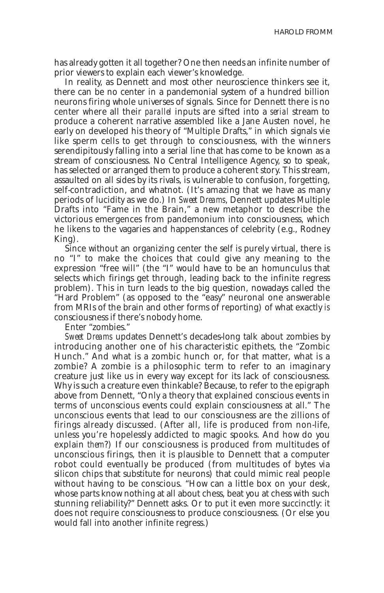has already gotten it all together? One then needs an infinite number of prior viewers to explain each viewer's knowledge.

In reality, as Dennett and most other neuroscience thinkers see it, there can be no center in a pandemonial system of a hundred billion neurons firing whole universes of signals. Since for Dennett there is no center where all their *parallel* inputs are sifted into a *serial* stream to produce a coherent narrative assembled like a Jane Austen novel, he early on developed his theory of "Multiple Drafts," in which signals vie like sperm cells to get through to consciousness, with the winners serendipitously falling into a serial line that has come to be known as a stream of consciousness. No Central Intelligence Agency, so to speak, has selected or arranged them to produce a coherent story. This stream, assaulted on all sides by its rivals, is vulnerable to confusion, forgetting, self-contradiction, and whatnot. (It's amazing that we have as many periods of lucidity as we do.) In *Sweet Dreams*, Dennett updates Multiple Drafts into "Fame in the Brain," a new metaphor to describe the victorious emergences from pandemonium into consciousness, which he likens to the vagaries and happenstances of celebrity (e.g., Rodney King).

Since without an organizing center the self is purely virtual, there is no "I" to make the choices that could give any meaning to the expression "free will" (the "I" would have to be an homunculus that selects which firings get through, leading back to the infinite regress problem). This in turn leads to the big question, nowadays called the "Hard Problem" (as opposed to the "easy" neuronal one answerable from MRIs of the brain and other forms of reporting) of what exactly *is* consciousness if there's nobody home.

Enter "zombies."

*Sweet Dreams* updates Dennett's decades-long talk about zombies by introducing another one of his characteristic epithets, the "Zombic Hunch." And what is a zombic hunch or, for that matter, what is a zombie? A zombie is a philosophic term to refer to an imaginary creature just like us in every way except for its lack of consciousness. Why is such a creature even thinkable? Because, to refer to the epigraph above from Dennett, "Only a theory that explained conscious events in terms of unconscious events could explain consciousness at all." The unconscious events that lead to our consciousness are the zillions of firings already discussed. (After all, life is produced from non-life, unless you're hopelessly addicted to magic spooks. And how do you explain *them*?) If our consciousness is produced from multitudes of unconscious firings, then it is plausible to Dennett that a computer robot could eventually be produced (from multitudes of bytes via silicon chips that substitute for neurons) that could mimic real people without having to be conscious. "How can a little box on your desk, whose parts know nothing at all about chess, beat you at chess with such stunning reliability?" Dennett asks. Or to put it even more succinctly: it does not require consciousness to produce consciousness. (Or else you would fall into another infinite regress.)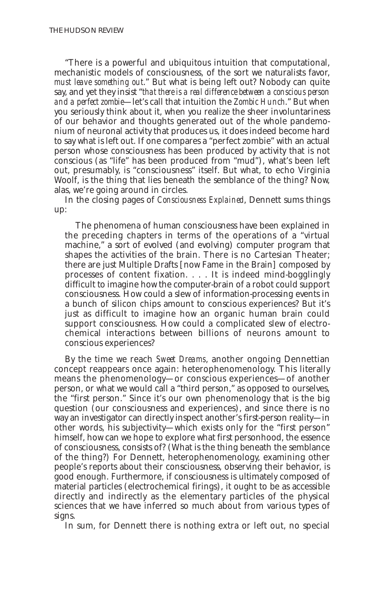"There is a powerful and ubiquitous intuition that computational, mechanistic models of consciousness, of the sort we naturalists favor, *must leave something out*." But what is being left out? Nobody can quite say, and yet they insist "*that there is a real difference between a conscious person and a perfect zombie*—let's call that intuition the *Zombic Hunch*." But when you seriously think about it, when you realize the sheer involuntariness of our behavior and thoughts generated out of the whole pandemonium of neuronal activity that produces us, it does indeed become hard to say what is left out. If one compares a "perfect zombie" with an actual person whose consciousness has been produced by activity that is not conscious (as "life" has been produced from "mud"), what's been left out, presumably, is "consciousness" itself. But what, to echo Virginia Woolf, is the thing that lies beneath the semblance of the thing? Now, alas, we're going around in circles.

In the closing pages of *Consciousness Explained*, Dennett sums things up:

The phenomena of human consciousness have been explained in the preceding chapters in terms of the operations of a "virtual machine," a sort of evolved (and evolving) computer program that shapes the activities of the brain. There is no Cartesian Theater; there are just Multiple Drafts [now Fame in the Brain] composed by processes of content fixation. . . . It is indeed mind-bogglingly difficult to imagine how the computer-brain of a robot could support consciousness. How could a slew of information-processing events in a bunch of silicon chips amount to conscious experiences? But it's just as difficult to imagine how an organic human brain could support consciousness. How could a complicated slew of electrochemical interactions between billions of neurons amount to conscious experiences?

By the time we reach *Sweet Dreams*, another ongoing Dennettian concept reappears once again: heterophenomenology. This literally means the phenomenology—or conscious experiences—of another person, or what we would call a "third person," as opposed to ourselves, the "first person." Since it's our own phenomenology that is the big question (our consciousness and experiences), and since there is no way an investigator can directly inspect another's first-person reality—in other words, his subjectivity—which exists only for the "first person" himself, how can we hope to explore what first personhood, the essence of consciousness, consists of? (What is the thing beneath the semblance of the thing?) For Dennett, heterophenomenology, examining other people's reports about their consciousness, observing their behavior, is good enough. Furthermore, if consciousness is ultimately composed of material particles (electrochemical firings), it ought to be as accessible directly and indirectly as the elementary particles of the physical sciences that we have inferred so much about from various types of signs.

In sum, for Dennett there is nothing extra or left out, no special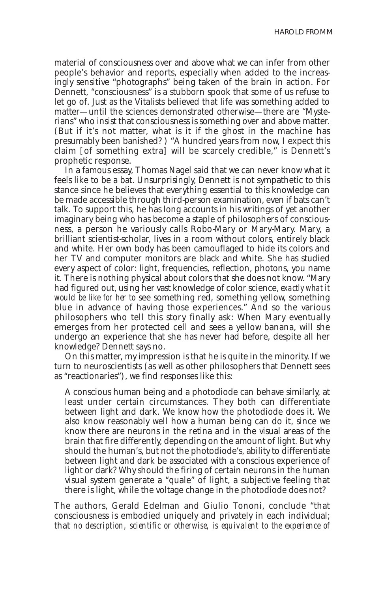material of consciousness over and above what we can infer from other people's behavior and reports, especially when added to the increasingly sensitive "photographs" being taken of the brain in action. For Dennett, "consciousness" is a stubborn spook that some of us refuse to let go of. Just as the Vitalists believed that life was something added to matter—until the sciences demonstrated otherwise—there are "Mysterians" who insist that consciousness is something over and above matter. (But if it's not matter, what is it if the ghost in the machine has presumably been banished? ) "A hundred years from now, I expect this claim [of something extra] will be scarcely credible," is Dennett's prophetic response.

In a famous essay, Thomas Nagel said that we can never know what it feels like to be a bat. Unsurprisingly, Dennett is not sympathetic to this stance since he believes that everything essential to this knowledge can be made accessible through third-person examination, even if bats can't talk. To support this, he has long accounts in his writings of yet another imaginary being who has become a staple of philosophers of consciousness, a person he variously calls Robo-Mary or Mary-Mary. Mary, a brilliant scientist-scholar, lives in a room without colors, entirely black and white. Her own body has been camouflaged to hide its colors and her TV and computer monitors are black and white. She has studied every aspect of color: light, frequencies, reflection, photons, you name it. There is nothing physical about colors that she does not know. "Mary had figured out, using her vast knowledge of color science, *exactly what it would be like for her to* see something red, something yellow, something blue in advance of having those experiences." And so the various philosophers who tell this story finally ask: When Mary eventually emerges from her protected cell and sees a yellow banana, will she undergo an experience that she has never had before, despite all her knowledge? Dennett says no.

On this matter, my impression is that he is quite in the minority. If we turn to neuroscientists (as well as other philosophers that Dennett sees as "reactionaries"), we find responses like this:

A conscious human being and a photodiode can behave similarly, at least under certain circumstances. They both can differentiate between light and dark. We know how the photodiode does it. We also know reasonably well how a human being can do it, since we know there are neurons in the retina and in the visual areas of the brain that fire differently, depending on the amount of light. But why should the human's, but not the photodiode's, ability to differentiate between light and dark be associated with a conscious experience of light or dark? Why should the firing of certain neurons in the human visual system generate a "quale" of light, a subjective feeling that there is light, while the voltage change in the photodiode does not?

The authors, Gerald Edelman and Giulio Tononi, conclude "that consciousness is embodied uniquely and privately in each individual; that *no description, scientific or otherwise, is equivalent to the experience of*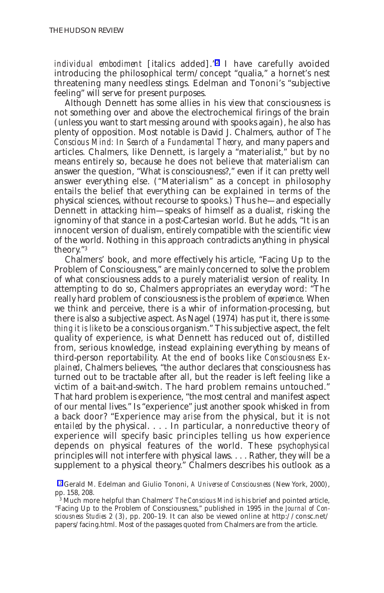*individual embodiment* [italics added]."2 I have carefully avoided introducing the philosophical term/concept "qualia," a hornet's nest threatening many needless stings. Edelman and Tononi's "subjective feeling" will serve for present purposes.

Although Dennett has some allies in his view that consciousness is not something over and above the electrochemical firings of the brain (unless you want to start messing around with spooks again), he also has plenty of opposition. Most notable is David J. Chalmers, author of *The Conscious Mind: In Search of a Fundamental Theory*, and many papers and articles. Chalmers, like Dennett, is largely a "materialist," but by no means entirely so, because he does not believe that materialism can answer the question, "What is consciousness?," even if it can pretty well answer everything else. ("Materialism" as a concept in philosophy entails the belief that everything can be explained in terms of the physical sciences, without recourse to spooks.) Thus he—and especially Dennett in attacking him—speaks of himself as a dualist, risking the ignominy of that stance in a post-Cartesian world. But he adds, "It is an innocent version of dualism, entirely compatible with the scientific view of the world. Nothing in this approach contradicts anything in physical theory."3

Chalmers' book, and more effectively his article, "Facing Up to the Problem of Consciousness," are mainly concerned to solve the problem of what consciousness adds to a purely materialist version of reality. In attempting to do so, Chalmers appropriates an everyday word: "The really hard problem of consciousness is the problem of *experience*. When we think and perceive, there is a whir of information-processing, but there is also a subjective aspect. As Nagel (1974) has put it, there is *something it is like* to be a conscious organism." This subjective aspect, the felt quality of experience, is what Dennett has reduced out of, distilled from, serious knowledge, instead explaining everything by means of third-person reportability. At the end of books like *Consciousness Explained*, Chalmers believes, "the author declares that consciousness has turned out to be tractable after all, but the reader is left feeling like a victim of a bait-and-switch. The hard problem remains untouched." That hard problem is experience, "the most central and manifest aspect of our mental lives." Is "experience" just another spook whisked in from a back door? "Experience may *arise* from the physical, but it is not *entailed* by the physical. . . . In particular, a nonreductive theory of experience will specify basic principles telling us how experience depends on physical features of the world. These *psychophysical* principles will not interfere with physical laws. . . . Rather, they will be a supplement to a physical theory." Chalmers describes his outlook as a

[<sup>2</sup>](http://www.amazon.com/gp/product/0465013775/sr=8-1/qid=1149013053/ref=pd_bbs_1/104-8076433-7474307?%5Fencoding=UTF8) Gerald M. Edelman and Giulio Tononi, *A Universe of Consciousness* (New York, 2000), pp. 158, 208.

<sup>&</sup>lt;sup>3</sup> Much more helpful than Chalmers' *The Conscious Mind* is his brief and pointed article, "Facing Up to the Problem of Consciousness," published in 1995 in the *Journal of Consciousness Studies* 2 (3), pp. 200–19. It can also be viewed online at http://consc.net/ papers/facing.html. Most of the passages quoted from Chalmers are from the article.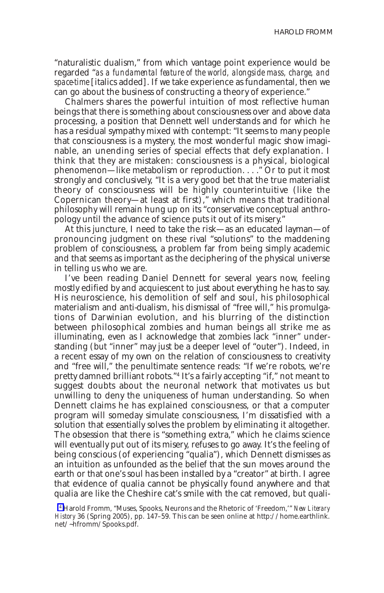"naturalistic dualism," from which vantage point experience would be regarded "*as a fundamental feature of the world, alongside mass, charge, and space-time* [italics added]. If we take experience as fundamental, then we can go about the business of constructing a theory of experience."

Chalmers shares the powerful intuition of most reflective human beings that there is something about consciousness over and above data processing, a position that Dennett well understands and for which he has a residual sympathy mixed with contempt: "It seems to many people that consciousness is a mystery, the most wonderful magic show imaginable, an unending series of special effects that defy explanation. I think that they are mistaken: consciousness is a physical, biological phenomenon—like metabolism or reproduction. . . ." Or to put it most strongly and conclusively, "It is a very good bet that the true materialist theory of consciousness will be highly counterintuitive (like the Copernican theory—at least at first)," which means that traditional philosophy will remain hung up on its "conservative conceptual anthropology until the advance of science puts it out of its misery."

At this juncture, I need to take the risk—as an educated layman—of pronouncing judgment on these rival "solutions" to the maddening problem of consciousness, a problem far from being simply academic and that seems as important as the deciphering of the physical universe in telling us who we are.

I've been reading Daniel Dennett for several years now, feeling mostly edified by and acquiescent to just about everything he has to say. His neuroscience, his demolition of self and soul, his philosophical materialism and anti-dualism, his dismissal of "free will," his promulgations of Darwinian evolution, and his blurring of the distinction between philosophical zombies and human beings all strike me as illuminating, even as I acknowledge that zombies lack "inner" understanding (but "inner" may just be a deeper level of "outer"). Indeed, in a recent essay of my own on the relation of consciousness to creativity and "free will," the penultimate sentence reads: "If we're robots, we're pretty damned brilliant robots."4 It's a fairly accepting "if," not meant to suggest doubts about the neuronal network that motivates us but unwilling to deny the uniqueness of human understanding. So when Dennett claims he has explained consciousness, or that a computer program will someday simulate consciousness, I'm dissatisfied with a solution that essentially solves the problem by eliminating it altogether. The obsession that there is "something extra," which he claims science will eventually put out of its misery, refuses to go away. It's the feeling of being conscious (of experiencing "qualia"), which Dennett dismisses as an intuition as unfounded as the belief that the sun moves around the earth or that one's soul has been installed by a "creator" at birth. I agree that evidence of qualia cannot be physically found anywhere and that qualia are like the Cheshire cat's smile with the cat removed, but quali-

[<sup>4</sup>](http://home.earthlink.net/~hfromm/Spooks.pdf) Harold Fromm, "Muses, Spooks, Neurons and the Rhetoric of 'Freedom,'" *New Literary History* 36 (Spring 2005), pp. 147–59. This can be seen online at http://home.earthlink. net/~hfromm/Spooks.pdf.